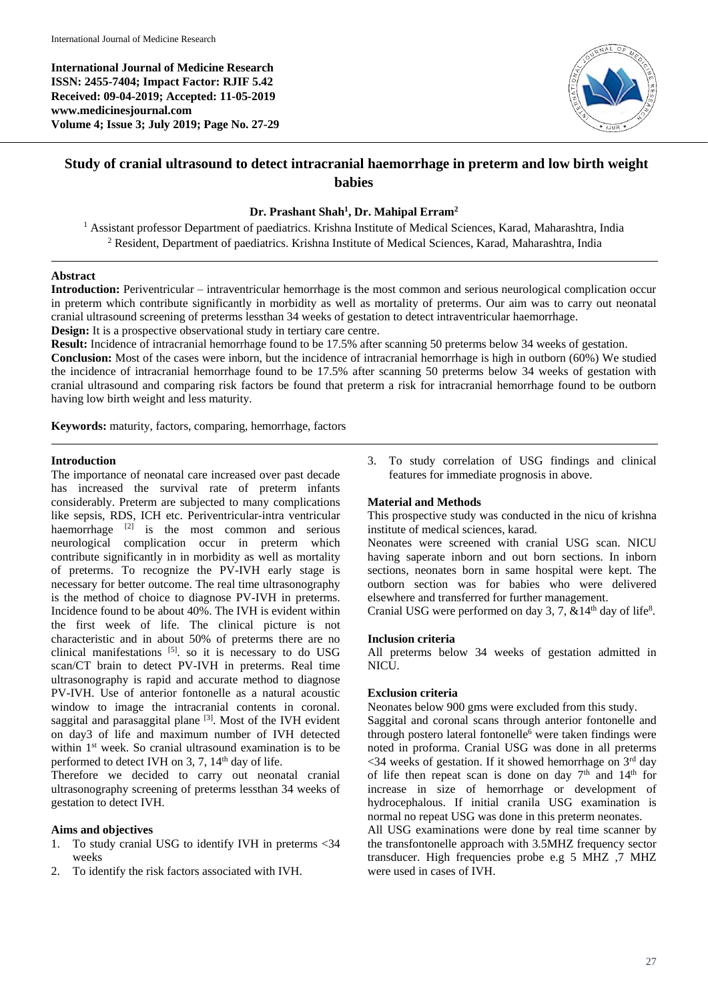**International Journal of Medicine Research ISSN: 2455-7404; Impact Factor: RJIF 5.42 Received: 09-04-2019; Accepted: 11-05-2019 www.medicinesjournal.com Volume 4; Issue 3; July 2019; Page No. 27-29**



# **Study of cranial ultrasound to detect intracranial haemorrhage in preterm and low birth weight babies**

### **Dr. Prashant Shah<sup>1</sup> , Dr. Mahipal Erram<sup>2</sup>**

<sup>1</sup> Assistant professor Department of paediatrics. Krishna Institute of Medical Sciences, Karad, Maharashtra, India <sup>2</sup> Resident, Department of paediatrics. Krishna Institute of Medical Sciences, Karad, Maharashtra, India

## **Abstract**

**Introduction:** Periventricular – intraventricular hemorrhage is the most common and serious neurological complication occur in preterm which contribute significantly in morbidity as well as mortality of preterms. Our aim was to carry out neonatal cranial ultrasound screening of preterms lessthan 34 weeks of gestation to detect intraventricular haemorrhage. **Design:** It is a prospective observational study in tertiary care centre.

**Result:** Incidence of intracranial hemorrhage found to be 17.5% after scanning 50 preterms below 34 weeks of gestation.

**Conclusion:** Most of the cases were inborn, but the incidence of intracranial hemorrhage is high in outborn (60%) We studied the incidence of intracranial hemorrhage found to be 17.5% after scanning 50 preterms below 34 weeks of gestation with cranial ultrasound and comparing risk factors be found that preterm a risk for intracranial hemorrhage found to be outborn having low birth weight and less maturity.

**Keywords:** maturity, factors, comparing, hemorrhage, factors

## **Introduction**

The importance of neonatal care increased over past decade has increased the survival rate of preterm infants considerably. Preterm are subjected to many complications like sepsis, RDS, ICH etc. Periventricular-intra ventricular haemorrhage  $[2]$  is the most common and serious neurological complication occur in preterm which contribute significantly in in morbidity as well as mortality of preterms. To recognize the PV-IVH early stage is necessary for better outcome. The real time ultrasonography is the method of choice to diagnose PV-IVH in preterms. Incidence found to be about 40%. The IVH is evident within the first week of life. The clinical picture is not characteristic and in about 50% of preterms there are no clinical manifestations  $[5]$ . so it is necessary to do USG scan/CT brain to detect PV-IVH in preterms. Real time ultrasonography is rapid and accurate method to diagnose PV-IVH. Use of anterior fontonelle as a natural acoustic window to image the intracranial contents in coronal. saggital and parasaggital plane<sup>[3]</sup>. Most of the IVH evident on day3 of life and maximum number of IVH detected within 1<sup>st</sup> week. So cranial ultrasound examination is to be performed to detect IVH on 3, 7,  $14<sup>th</sup>$  day of life.

Therefore we decided to carry out neonatal cranial ultrasonography screening of preterms lessthan 34 weeks of gestation to detect IVH.

## **Aims and objectives**

- 1. To study cranial USG to identify IVH in preterms <34 weeks
- 2. To identify the risk factors associated with IVH.

3. To study correlation of USG findings and clinical features for immediate prognosis in above.

## **Material and Methods**

This prospective study was conducted in the nicu of krishna institute of medical sciences, karad.

Neonates were screened with cranial USG scan. NICU having saperate inborn and out born sections. In inborn sections, neonates born in same hospital were kept. The outborn section was for babies who were delivered elsewhere and transferred for further management.

Cranial USG were performed on day 3, 7,  $&14<sup>th</sup>$  day of life<sup>8</sup>.

### **Inclusion criteria**

All preterms below 34 weeks of gestation admitted in NICU.

### **Exclusion criteria**

Neonates below 900 gms were excluded from this study.

Saggital and coronal scans through anterior fontonelle and through postero lateral fontonelle<sup>6</sup> were taken findings were noted in proforma. Cranial USG was done in all preterms  $\leq$ 34 weeks of gestation. If it showed hemorrhage on 3<sup>rd</sup> day of life then repeat scan is done on day  $7<sup>th</sup>$  and  $14<sup>th</sup>$  for increase in size of hemorrhage or development of hydrocephalous. If initial cranila USG examination is normal no repeat USG was done in this preterm neonates.

All USG examinations were done by real time scanner by the transfontonelle approach with 3.5MHZ frequency sector transducer. High frequencies probe e.g 5 MHZ ,7 MHZ were used in cases of IVH.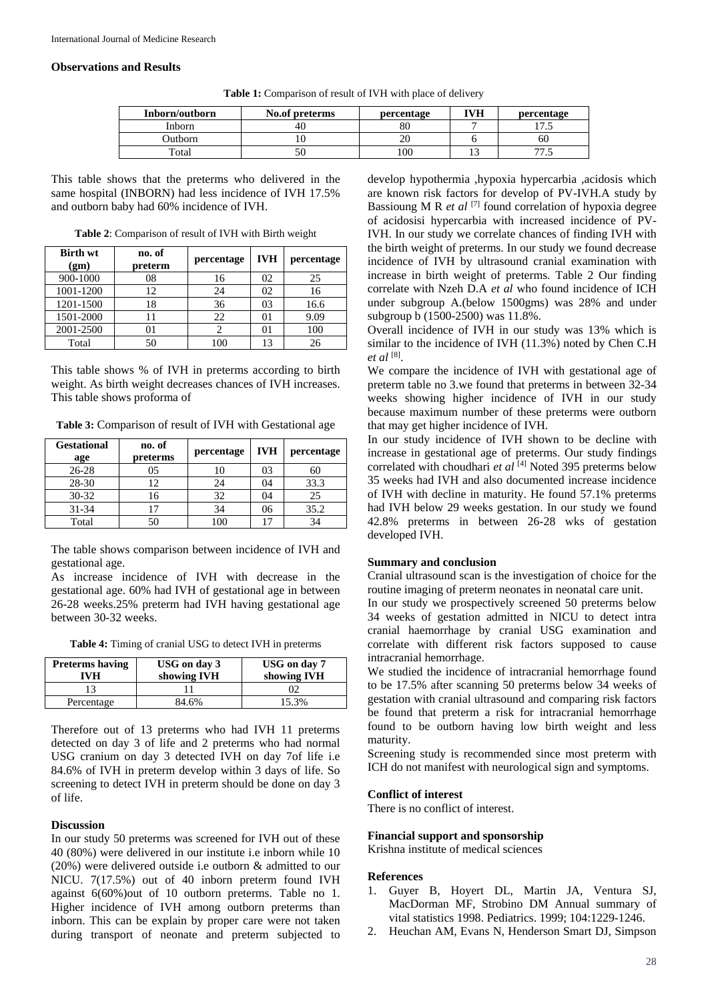## **Observations and Results**

| Inborn/outborn | No.of preterms | percentage | <b>IVH</b> | percentage               |
|----------------|----------------|------------|------------|--------------------------|
| Inborn         |                | 80         |            | ل دا                     |
| Outborn        |                |            |            | 60                       |
| Total          |                | 100        |            | $\overline{\phantom{a}}$ |

**Table 1:** Comparison of result of IVH with place of delivery

This table shows that the preterms who delivered in the same hospital (INBORN) had less incidence of IVH 17.5% and outborn baby had 60% incidence of IVH.

| <b>Table 2:</b> Comparison of result of IVH with Birth weight |  |
|---------------------------------------------------------------|--|
|---------------------------------------------------------------|--|

| <b>Birth wt</b><br>(gm) | no. of<br>preterm | percentage | <b>IVH</b> | percentage |
|-------------------------|-------------------|------------|------------|------------|
| 900-1000                | 08                | 16         | 02         | 25         |
| 1001-1200               | 12                | 24         | 02         | 16         |
| 1201-1500               | 18                | 36         | 03         | 16.6       |
| 1501-2000               |                   | 22         |            | 9.09       |
| 2001-2500               | 01                |            |            | 100        |
| Total                   | 50                |            |            |            |

This table shows % of IVH in preterms according to birth weight. As birth weight decreases chances of IVH increases. This table shows proforma of

**Table 3:** Comparison of result of IVH with Gestational age

| <b>Gestational</b><br>age | no. of<br>preterms | percentage | <b>IVH</b> | percentage |
|---------------------------|--------------------|------------|------------|------------|
| $26 - 28$                 | 05                 |            | 03         | 60         |
| 28-30                     | 12                 | 24         | 04         | 33.3       |
| $30 - 32$                 | 16                 | 32         | 04         | 25         |
| $31 - 34$                 |                    | 34         | 06         | 35.2       |
| Total                     | 50                 |            |            | 34         |

The table shows comparison between incidence of IVH and gestational age.

As increase incidence of IVH with decrease in the gestational age. 60% had IVH of gestational age in between 26-28 weeks.25% preterm had IVH having gestational age between 30-32 weeks.

**Table 4:** Timing of cranial USG to detect IVH in preterms

| <b>Preterms having</b><br>IVH | USG on day 3<br>showing IVH | USG on day 7<br>showing IVH |
|-------------------------------|-----------------------------|-----------------------------|
|                               |                             | )2                          |
| Percentage                    | 84.6%                       | 15.3%                       |

Therefore out of 13 preterms who had IVH 11 preterms detected on day 3 of life and 2 preterms who had normal USG cranium on day 3 detected IVH on day 7of life i.e 84.6% of IVH in preterm develop within 3 days of life. So screening to detect IVH in preterm should be done on day 3 of life.

#### **Discussion**

In our study 50 preterms was screened for IVH out of these 40 (80%) were delivered in our institute i.e inborn while 10 (20%) were delivered outside i.e outborn & admitted to our NICU. 7(17.5%) out of 40 inborn preterm found IVH against 6(60%)out of 10 outborn preterms. Table no 1. Higher incidence of IVH among outborn preterms than inborn. This can be explain by proper care were not taken during transport of neonate and preterm subjected to

develop hypothermia ,hypoxia hypercarbia ,acidosis which are known risk factors for develop of PV-IVH.A study by Bassioung M R *et al* <sup>[7]</sup> found correlation of hypoxia degree of acidosisi hypercarbia with increased incidence of PV-IVH. In our study we correlate chances of finding IVH with the birth weight of preterms. In our study we found decrease incidence of IVH by ultrasound cranial examination with increase in birth weight of preterms. Table 2 Our finding correlate with Nzeh D.A *et al* who found incidence of ICH under subgroup A.(below 1500gms) was 28% and under subgroup b (1500-2500) was 11.8%.

Overall incidence of IVH in our study was 13% which is similar to the incidence of IVH (11.3%) noted by Chen C.H *et al* [8] .

We compare the incidence of IVH with gestational age of preterm table no 3.we found that preterms in between 32-34 weeks showing higher incidence of IVH in our study because maximum number of these preterms were outborn that may get higher incidence of IVH.

In our study incidence of IVH shown to be decline with increase in gestational age of preterms. Our study findings correlated with choudhari *et al* [4] Noted 395 preterms below 35 weeks had IVH and also documented increase incidence of IVH with decline in maturity. He found 57.1% preterms had IVH below 29 weeks gestation. In our study we found 42.8% preterms in between 26-28 wks of gestation developed IVH.

#### **Summary and conclusion**

Cranial ultrasound scan is the investigation of choice for the routine imaging of preterm neonates in neonatal care unit.

In our study we prospectively screened 50 preterms below 34 weeks of gestation admitted in NICU to detect intra cranial haemorrhage by cranial USG examination and correlate with different risk factors supposed to cause intracranial hemorrhage.

We studied the incidence of intracranial hemorrhage found to be 17.5% after scanning 50 preterms below 34 weeks of gestation with cranial ultrasound and comparing risk factors be found that preterm a risk for intracranial hemorrhage found to be outborn having low birth weight and less maturity.

Screening study is recommended since most preterm with ICH do not manifest with neurological sign and symptoms.

### **Conflict of interest**

There is no conflict of interest.

#### **Financial support and sponsorship**

Krishna institute of medical sciences

#### **References**

- 1. Guyer B, Hoyert DL, Martin JA, Ventura SJ, MacDorman MF, Strobino DM Annual summary of vital statistics 1998. Pediatrics. 1999; 104:1229-1246.
- 2. Heuchan AM, Evans N, Henderson Smart DJ, Simpson